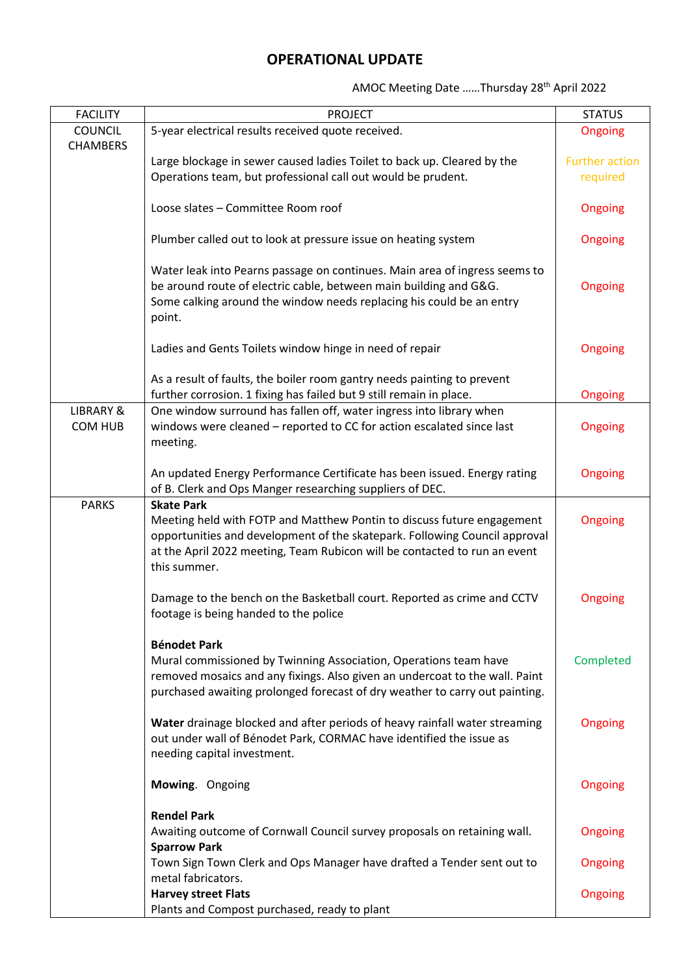## **OPERATIONAL UPDATE**

AMOC Meeting Date ……Thursday 28th April 2022

| <b>COUNCIL</b><br>5-year electrical results received quote received.<br>Ongoing<br><b>CHAMBERS</b><br>Large blockage in sewer caused ladies Toilet to back up. Cleared by the<br><b>Further action</b><br>Operations team, but professional call out would be prudent.<br>required<br>Loose slates - Committee Room roof<br>Ongoing<br>Plumber called out to look at pressure issue on heating system<br>Ongoing<br>Water leak into Pearns passage on continues. Main area of ingress seems to<br>be around route of electric cable, between main building and G&G.<br>Ongoing<br>Some calking around the window needs replacing his could be an entry<br>point.<br>Ladies and Gents Toilets window hinge in need of repair<br>Ongoing<br>As a result of faults, the boiler room gantry needs painting to prevent<br>further corrosion. 1 fixing has failed but 9 still remain in place.<br>Ongoing<br>One window surround has fallen off, water ingress into library when<br><b>LIBRARY &amp;</b><br>windows were cleaned - reported to CC for action escalated since last<br><b>COM HUB</b><br>Ongoing<br>meeting.<br>An updated Energy Performance Certificate has been issued. Energy rating<br>Ongoing<br>of B. Clerk and Ops Manger researching suppliers of DEC.<br><b>PARKS</b><br><b>Skate Park</b><br>Meeting held with FOTP and Matthew Pontin to discuss future engagement<br>Ongoing<br>opportunities and development of the skatepark. Following Council approval<br>at the April 2022 meeting, Team Rubicon will be contacted to run an event<br>this summer.<br>Damage to the bench on the Basketball court. Reported as crime and CCTV<br>Ongoing<br>footage is being handed to the police<br><b>Bénodet Park</b><br>Mural commissioned by Twinning Association, Operations team have<br>Completed<br>removed mosaics and any fixings. Also given an undercoat to the wall. Paint<br>purchased awaiting prolonged forecast of dry weather to carry out painting.<br>Water drainage blocked and after periods of heavy rainfall water streaming<br>Ongoing<br>out under wall of Bénodet Park, CORMAC have identified the issue as<br>needing capital investment.<br>Mowing. Ongoing<br>Ongoing<br><b>Rendel Park</b><br>Awaiting outcome of Cornwall Council survey proposals on retaining wall.<br>Ongoing<br><b>Sparrow Park</b><br>Town Sign Town Clerk and Ops Manager have drafted a Tender sent out to<br>Ongoing<br>metal fabricators.<br><b>Harvey street Flats</b><br>Ongoing | <b>FACILITY</b> | <b>PROJECT</b>                               | <b>STATUS</b> |
|--------------------------------------------------------------------------------------------------------------------------------------------------------------------------------------------------------------------------------------------------------------------------------------------------------------------------------------------------------------------------------------------------------------------------------------------------------------------------------------------------------------------------------------------------------------------------------------------------------------------------------------------------------------------------------------------------------------------------------------------------------------------------------------------------------------------------------------------------------------------------------------------------------------------------------------------------------------------------------------------------------------------------------------------------------------------------------------------------------------------------------------------------------------------------------------------------------------------------------------------------------------------------------------------------------------------------------------------------------------------------------------------------------------------------------------------------------------------------------------------------------------------------------------------------------------------------------------------------------------------------------------------------------------------------------------------------------------------------------------------------------------------------------------------------------------------------------------------------------------------------------------------------------------------------------------------------------------------------------------------------------------------------------------------------------------------------------------------------------------------------------------------------------------------------------------------------------------------------------------------------------------------------------------------------------------------------------------------------------------------------------------------------------------------------------------------------------------------------------------------------------|-----------------|----------------------------------------------|---------------|
|                                                                                                                                                                                                                                                                                                                                                                                                                                                                                                                                                                                                                                                                                                                                                                                                                                                                                                                                                                                                                                                                                                                                                                                                                                                                                                                                                                                                                                                                                                                                                                                                                                                                                                                                                                                                                                                                                                                                                                                                                                                                                                                                                                                                                                                                                                                                                                                                                                                                                                        |                 |                                              |               |
|                                                                                                                                                                                                                                                                                                                                                                                                                                                                                                                                                                                                                                                                                                                                                                                                                                                                                                                                                                                                                                                                                                                                                                                                                                                                                                                                                                                                                                                                                                                                                                                                                                                                                                                                                                                                                                                                                                                                                                                                                                                                                                                                                                                                                                                                                                                                                                                                                                                                                                        |                 |                                              |               |
|                                                                                                                                                                                                                                                                                                                                                                                                                                                                                                                                                                                                                                                                                                                                                                                                                                                                                                                                                                                                                                                                                                                                                                                                                                                                                                                                                                                                                                                                                                                                                                                                                                                                                                                                                                                                                                                                                                                                                                                                                                                                                                                                                                                                                                                                                                                                                                                                                                                                                                        |                 |                                              |               |
|                                                                                                                                                                                                                                                                                                                                                                                                                                                                                                                                                                                                                                                                                                                                                                                                                                                                                                                                                                                                                                                                                                                                                                                                                                                                                                                                                                                                                                                                                                                                                                                                                                                                                                                                                                                                                                                                                                                                                                                                                                                                                                                                                                                                                                                                                                                                                                                                                                                                                                        |                 |                                              |               |
|                                                                                                                                                                                                                                                                                                                                                                                                                                                                                                                                                                                                                                                                                                                                                                                                                                                                                                                                                                                                                                                                                                                                                                                                                                                                                                                                                                                                                                                                                                                                                                                                                                                                                                                                                                                                                                                                                                                                                                                                                                                                                                                                                                                                                                                                                                                                                                                                                                                                                                        |                 |                                              |               |
|                                                                                                                                                                                                                                                                                                                                                                                                                                                                                                                                                                                                                                                                                                                                                                                                                                                                                                                                                                                                                                                                                                                                                                                                                                                                                                                                                                                                                                                                                                                                                                                                                                                                                                                                                                                                                                                                                                                                                                                                                                                                                                                                                                                                                                                                                                                                                                                                                                                                                                        |                 |                                              |               |
|                                                                                                                                                                                                                                                                                                                                                                                                                                                                                                                                                                                                                                                                                                                                                                                                                                                                                                                                                                                                                                                                                                                                                                                                                                                                                                                                                                                                                                                                                                                                                                                                                                                                                                                                                                                                                                                                                                                                                                                                                                                                                                                                                                                                                                                                                                                                                                                                                                                                                                        |                 |                                              |               |
|                                                                                                                                                                                                                                                                                                                                                                                                                                                                                                                                                                                                                                                                                                                                                                                                                                                                                                                                                                                                                                                                                                                                                                                                                                                                                                                                                                                                                                                                                                                                                                                                                                                                                                                                                                                                                                                                                                                                                                                                                                                                                                                                                                                                                                                                                                                                                                                                                                                                                                        |                 |                                              |               |
|                                                                                                                                                                                                                                                                                                                                                                                                                                                                                                                                                                                                                                                                                                                                                                                                                                                                                                                                                                                                                                                                                                                                                                                                                                                                                                                                                                                                                                                                                                                                                                                                                                                                                                                                                                                                                                                                                                                                                                                                                                                                                                                                                                                                                                                                                                                                                                                                                                                                                                        |                 |                                              |               |
|                                                                                                                                                                                                                                                                                                                                                                                                                                                                                                                                                                                                                                                                                                                                                                                                                                                                                                                                                                                                                                                                                                                                                                                                                                                                                                                                                                                                                                                                                                                                                                                                                                                                                                                                                                                                                                                                                                                                                                                                                                                                                                                                                                                                                                                                                                                                                                                                                                                                                                        |                 |                                              |               |
|                                                                                                                                                                                                                                                                                                                                                                                                                                                                                                                                                                                                                                                                                                                                                                                                                                                                                                                                                                                                                                                                                                                                                                                                                                                                                                                                                                                                                                                                                                                                                                                                                                                                                                                                                                                                                                                                                                                                                                                                                                                                                                                                                                                                                                                                                                                                                                                                                                                                                                        |                 |                                              |               |
|                                                                                                                                                                                                                                                                                                                                                                                                                                                                                                                                                                                                                                                                                                                                                                                                                                                                                                                                                                                                                                                                                                                                                                                                                                                                                                                                                                                                                                                                                                                                                                                                                                                                                                                                                                                                                                                                                                                                                                                                                                                                                                                                                                                                                                                                                                                                                                                                                                                                                                        |                 |                                              |               |
|                                                                                                                                                                                                                                                                                                                                                                                                                                                                                                                                                                                                                                                                                                                                                                                                                                                                                                                                                                                                                                                                                                                                                                                                                                                                                                                                                                                                                                                                                                                                                                                                                                                                                                                                                                                                                                                                                                                                                                                                                                                                                                                                                                                                                                                                                                                                                                                                                                                                                                        |                 |                                              |               |
|                                                                                                                                                                                                                                                                                                                                                                                                                                                                                                                                                                                                                                                                                                                                                                                                                                                                                                                                                                                                                                                                                                                                                                                                                                                                                                                                                                                                                                                                                                                                                                                                                                                                                                                                                                                                                                                                                                                                                                                                                                                                                                                                                                                                                                                                                                                                                                                                                                                                                                        |                 |                                              |               |
|                                                                                                                                                                                                                                                                                                                                                                                                                                                                                                                                                                                                                                                                                                                                                                                                                                                                                                                                                                                                                                                                                                                                                                                                                                                                                                                                                                                                                                                                                                                                                                                                                                                                                                                                                                                                                                                                                                                                                                                                                                                                                                                                                                                                                                                                                                                                                                                                                                                                                                        |                 |                                              |               |
|                                                                                                                                                                                                                                                                                                                                                                                                                                                                                                                                                                                                                                                                                                                                                                                                                                                                                                                                                                                                                                                                                                                                                                                                                                                                                                                                                                                                                                                                                                                                                                                                                                                                                                                                                                                                                                                                                                                                                                                                                                                                                                                                                                                                                                                                                                                                                                                                                                                                                                        |                 |                                              |               |
|                                                                                                                                                                                                                                                                                                                                                                                                                                                                                                                                                                                                                                                                                                                                                                                                                                                                                                                                                                                                                                                                                                                                                                                                                                                                                                                                                                                                                                                                                                                                                                                                                                                                                                                                                                                                                                                                                                                                                                                                                                                                                                                                                                                                                                                                                                                                                                                                                                                                                                        |                 |                                              |               |
|                                                                                                                                                                                                                                                                                                                                                                                                                                                                                                                                                                                                                                                                                                                                                                                                                                                                                                                                                                                                                                                                                                                                                                                                                                                                                                                                                                                                                                                                                                                                                                                                                                                                                                                                                                                                                                                                                                                                                                                                                                                                                                                                                                                                                                                                                                                                                                                                                                                                                                        |                 |                                              |               |
|                                                                                                                                                                                                                                                                                                                                                                                                                                                                                                                                                                                                                                                                                                                                                                                                                                                                                                                                                                                                                                                                                                                                                                                                                                                                                                                                                                                                                                                                                                                                                                                                                                                                                                                                                                                                                                                                                                                                                                                                                                                                                                                                                                                                                                                                                                                                                                                                                                                                                                        |                 |                                              |               |
|                                                                                                                                                                                                                                                                                                                                                                                                                                                                                                                                                                                                                                                                                                                                                                                                                                                                                                                                                                                                                                                                                                                                                                                                                                                                                                                                                                                                                                                                                                                                                                                                                                                                                                                                                                                                                                                                                                                                                                                                                                                                                                                                                                                                                                                                                                                                                                                                                                                                                                        |                 |                                              |               |
|                                                                                                                                                                                                                                                                                                                                                                                                                                                                                                                                                                                                                                                                                                                                                                                                                                                                                                                                                                                                                                                                                                                                                                                                                                                                                                                                                                                                                                                                                                                                                                                                                                                                                                                                                                                                                                                                                                                                                                                                                                                                                                                                                                                                                                                                                                                                                                                                                                                                                                        |                 |                                              |               |
|                                                                                                                                                                                                                                                                                                                                                                                                                                                                                                                                                                                                                                                                                                                                                                                                                                                                                                                                                                                                                                                                                                                                                                                                                                                                                                                                                                                                                                                                                                                                                                                                                                                                                                                                                                                                                                                                                                                                                                                                                                                                                                                                                                                                                                                                                                                                                                                                                                                                                                        |                 |                                              |               |
|                                                                                                                                                                                                                                                                                                                                                                                                                                                                                                                                                                                                                                                                                                                                                                                                                                                                                                                                                                                                                                                                                                                                                                                                                                                                                                                                                                                                                                                                                                                                                                                                                                                                                                                                                                                                                                                                                                                                                                                                                                                                                                                                                                                                                                                                                                                                                                                                                                                                                                        |                 |                                              |               |
|                                                                                                                                                                                                                                                                                                                                                                                                                                                                                                                                                                                                                                                                                                                                                                                                                                                                                                                                                                                                                                                                                                                                                                                                                                                                                                                                                                                                                                                                                                                                                                                                                                                                                                                                                                                                                                                                                                                                                                                                                                                                                                                                                                                                                                                                                                                                                                                                                                                                                                        |                 |                                              |               |
|                                                                                                                                                                                                                                                                                                                                                                                                                                                                                                                                                                                                                                                                                                                                                                                                                                                                                                                                                                                                                                                                                                                                                                                                                                                                                                                                                                                                                                                                                                                                                                                                                                                                                                                                                                                                                                                                                                                                                                                                                                                                                                                                                                                                                                                                                                                                                                                                                                                                                                        |                 |                                              |               |
|                                                                                                                                                                                                                                                                                                                                                                                                                                                                                                                                                                                                                                                                                                                                                                                                                                                                                                                                                                                                                                                                                                                                                                                                                                                                                                                                                                                                                                                                                                                                                                                                                                                                                                                                                                                                                                                                                                                                                                                                                                                                                                                                                                                                                                                                                                                                                                                                                                                                                                        |                 |                                              |               |
|                                                                                                                                                                                                                                                                                                                                                                                                                                                                                                                                                                                                                                                                                                                                                                                                                                                                                                                                                                                                                                                                                                                                                                                                                                                                                                                                                                                                                                                                                                                                                                                                                                                                                                                                                                                                                                                                                                                                                                                                                                                                                                                                                                                                                                                                                                                                                                                                                                                                                                        |                 |                                              |               |
|                                                                                                                                                                                                                                                                                                                                                                                                                                                                                                                                                                                                                                                                                                                                                                                                                                                                                                                                                                                                                                                                                                                                                                                                                                                                                                                                                                                                                                                                                                                                                                                                                                                                                                                                                                                                                                                                                                                                                                                                                                                                                                                                                                                                                                                                                                                                                                                                                                                                                                        |                 |                                              |               |
|                                                                                                                                                                                                                                                                                                                                                                                                                                                                                                                                                                                                                                                                                                                                                                                                                                                                                                                                                                                                                                                                                                                                                                                                                                                                                                                                                                                                                                                                                                                                                                                                                                                                                                                                                                                                                                                                                                                                                                                                                                                                                                                                                                                                                                                                                                                                                                                                                                                                                                        |                 |                                              |               |
|                                                                                                                                                                                                                                                                                                                                                                                                                                                                                                                                                                                                                                                                                                                                                                                                                                                                                                                                                                                                                                                                                                                                                                                                                                                                                                                                                                                                                                                                                                                                                                                                                                                                                                                                                                                                                                                                                                                                                                                                                                                                                                                                                                                                                                                                                                                                                                                                                                                                                                        |                 |                                              |               |
|                                                                                                                                                                                                                                                                                                                                                                                                                                                                                                                                                                                                                                                                                                                                                                                                                                                                                                                                                                                                                                                                                                                                                                                                                                                                                                                                                                                                                                                                                                                                                                                                                                                                                                                                                                                                                                                                                                                                                                                                                                                                                                                                                                                                                                                                                                                                                                                                                                                                                                        |                 |                                              |               |
|                                                                                                                                                                                                                                                                                                                                                                                                                                                                                                                                                                                                                                                                                                                                                                                                                                                                                                                                                                                                                                                                                                                                                                                                                                                                                                                                                                                                                                                                                                                                                                                                                                                                                                                                                                                                                                                                                                                                                                                                                                                                                                                                                                                                                                                                                                                                                                                                                                                                                                        |                 |                                              |               |
|                                                                                                                                                                                                                                                                                                                                                                                                                                                                                                                                                                                                                                                                                                                                                                                                                                                                                                                                                                                                                                                                                                                                                                                                                                                                                                                                                                                                                                                                                                                                                                                                                                                                                                                                                                                                                                                                                                                                                                                                                                                                                                                                                                                                                                                                                                                                                                                                                                                                                                        |                 |                                              |               |
|                                                                                                                                                                                                                                                                                                                                                                                                                                                                                                                                                                                                                                                                                                                                                                                                                                                                                                                                                                                                                                                                                                                                                                                                                                                                                                                                                                                                                                                                                                                                                                                                                                                                                                                                                                                                                                                                                                                                                                                                                                                                                                                                                                                                                                                                                                                                                                                                                                                                                                        |                 |                                              |               |
|                                                                                                                                                                                                                                                                                                                                                                                                                                                                                                                                                                                                                                                                                                                                                                                                                                                                                                                                                                                                                                                                                                                                                                                                                                                                                                                                                                                                                                                                                                                                                                                                                                                                                                                                                                                                                                                                                                                                                                                                                                                                                                                                                                                                                                                                                                                                                                                                                                                                                                        |                 |                                              |               |
|                                                                                                                                                                                                                                                                                                                                                                                                                                                                                                                                                                                                                                                                                                                                                                                                                                                                                                                                                                                                                                                                                                                                                                                                                                                                                                                                                                                                                                                                                                                                                                                                                                                                                                                                                                                                                                                                                                                                                                                                                                                                                                                                                                                                                                                                                                                                                                                                                                                                                                        |                 |                                              |               |
|                                                                                                                                                                                                                                                                                                                                                                                                                                                                                                                                                                                                                                                                                                                                                                                                                                                                                                                                                                                                                                                                                                                                                                                                                                                                                                                                                                                                                                                                                                                                                                                                                                                                                                                                                                                                                                                                                                                                                                                                                                                                                                                                                                                                                                                                                                                                                                                                                                                                                                        |                 |                                              |               |
|                                                                                                                                                                                                                                                                                                                                                                                                                                                                                                                                                                                                                                                                                                                                                                                                                                                                                                                                                                                                                                                                                                                                                                                                                                                                                                                                                                                                                                                                                                                                                                                                                                                                                                                                                                                                                                                                                                                                                                                                                                                                                                                                                                                                                                                                                                                                                                                                                                                                                                        |                 |                                              |               |
|                                                                                                                                                                                                                                                                                                                                                                                                                                                                                                                                                                                                                                                                                                                                                                                                                                                                                                                                                                                                                                                                                                                                                                                                                                                                                                                                                                                                                                                                                                                                                                                                                                                                                                                                                                                                                                                                                                                                                                                                                                                                                                                                                                                                                                                                                                                                                                                                                                                                                                        |                 |                                              |               |
|                                                                                                                                                                                                                                                                                                                                                                                                                                                                                                                                                                                                                                                                                                                                                                                                                                                                                                                                                                                                                                                                                                                                                                                                                                                                                                                                                                                                                                                                                                                                                                                                                                                                                                                                                                                                                                                                                                                                                                                                                                                                                                                                                                                                                                                                                                                                                                                                                                                                                                        |                 |                                              |               |
|                                                                                                                                                                                                                                                                                                                                                                                                                                                                                                                                                                                                                                                                                                                                                                                                                                                                                                                                                                                                                                                                                                                                                                                                                                                                                                                                                                                                                                                                                                                                                                                                                                                                                                                                                                                                                                                                                                                                                                                                                                                                                                                                                                                                                                                                                                                                                                                                                                                                                                        |                 |                                              |               |
|                                                                                                                                                                                                                                                                                                                                                                                                                                                                                                                                                                                                                                                                                                                                                                                                                                                                                                                                                                                                                                                                                                                                                                                                                                                                                                                                                                                                                                                                                                                                                                                                                                                                                                                                                                                                                                                                                                                                                                                                                                                                                                                                                                                                                                                                                                                                                                                                                                                                                                        |                 |                                              |               |
|                                                                                                                                                                                                                                                                                                                                                                                                                                                                                                                                                                                                                                                                                                                                                                                                                                                                                                                                                                                                                                                                                                                                                                                                                                                                                                                                                                                                                                                                                                                                                                                                                                                                                                                                                                                                                                                                                                                                                                                                                                                                                                                                                                                                                                                                                                                                                                                                                                                                                                        |                 |                                              |               |
|                                                                                                                                                                                                                                                                                                                                                                                                                                                                                                                                                                                                                                                                                                                                                                                                                                                                                                                                                                                                                                                                                                                                                                                                                                                                                                                                                                                                                                                                                                                                                                                                                                                                                                                                                                                                                                                                                                                                                                                                                                                                                                                                                                                                                                                                                                                                                                                                                                                                                                        |                 |                                              |               |
|                                                                                                                                                                                                                                                                                                                                                                                                                                                                                                                                                                                                                                                                                                                                                                                                                                                                                                                                                                                                                                                                                                                                                                                                                                                                                                                                                                                                                                                                                                                                                                                                                                                                                                                                                                                                                                                                                                                                                                                                                                                                                                                                                                                                                                                                                                                                                                                                                                                                                                        |                 |                                              |               |
|                                                                                                                                                                                                                                                                                                                                                                                                                                                                                                                                                                                                                                                                                                                                                                                                                                                                                                                                                                                                                                                                                                                                                                                                                                                                                                                                                                                                                                                                                                                                                                                                                                                                                                                                                                                                                                                                                                                                                                                                                                                                                                                                                                                                                                                                                                                                                                                                                                                                                                        |                 |                                              |               |
|                                                                                                                                                                                                                                                                                                                                                                                                                                                                                                                                                                                                                                                                                                                                                                                                                                                                                                                                                                                                                                                                                                                                                                                                                                                                                                                                                                                                                                                                                                                                                                                                                                                                                                                                                                                                                                                                                                                                                                                                                                                                                                                                                                                                                                                                                                                                                                                                                                                                                                        |                 |                                              |               |
|                                                                                                                                                                                                                                                                                                                                                                                                                                                                                                                                                                                                                                                                                                                                                                                                                                                                                                                                                                                                                                                                                                                                                                                                                                                                                                                                                                                                                                                                                                                                                                                                                                                                                                                                                                                                                                                                                                                                                                                                                                                                                                                                                                                                                                                                                                                                                                                                                                                                                                        |                 |                                              |               |
|                                                                                                                                                                                                                                                                                                                                                                                                                                                                                                                                                                                                                                                                                                                                                                                                                                                                                                                                                                                                                                                                                                                                                                                                                                                                                                                                                                                                                                                                                                                                                                                                                                                                                                                                                                                                                                                                                                                                                                                                                                                                                                                                                                                                                                                                                                                                                                                                                                                                                                        |                 |                                              |               |
|                                                                                                                                                                                                                                                                                                                                                                                                                                                                                                                                                                                                                                                                                                                                                                                                                                                                                                                                                                                                                                                                                                                                                                                                                                                                                                                                                                                                                                                                                                                                                                                                                                                                                                                                                                                                                                                                                                                                                                                                                                                                                                                                                                                                                                                                                                                                                                                                                                                                                                        |                 |                                              |               |
|                                                                                                                                                                                                                                                                                                                                                                                                                                                                                                                                                                                                                                                                                                                                                                                                                                                                                                                                                                                                                                                                                                                                                                                                                                                                                                                                                                                                                                                                                                                                                                                                                                                                                                                                                                                                                                                                                                                                                                                                                                                                                                                                                                                                                                                                                                                                                                                                                                                                                                        |                 |                                              |               |
|                                                                                                                                                                                                                                                                                                                                                                                                                                                                                                                                                                                                                                                                                                                                                                                                                                                                                                                                                                                                                                                                                                                                                                                                                                                                                                                                                                                                                                                                                                                                                                                                                                                                                                                                                                                                                                                                                                                                                                                                                                                                                                                                                                                                                                                                                                                                                                                                                                                                                                        |                 | Plants and Compost purchased, ready to plant |               |